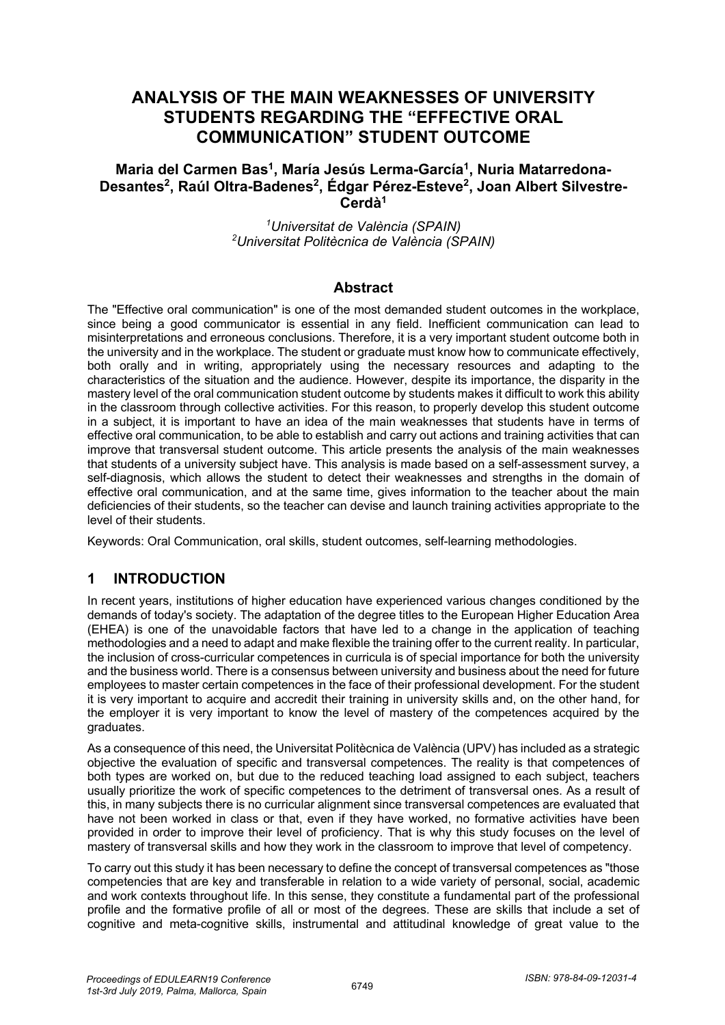# **ANALYSIS OF THE MAIN WEAKNESSES OF UNIVERSITY STUDENTS REGARDING THE "EFFECTIVE ORAL COMMUNICATION" STUDENT OUTCOME**

### Maria del Carmen Bas<sup>1</sup>, María Jesús Lerma-García<sup>1</sup>, Nuria Matarredona-Desantes<sup>2</sup>, Raúl Oltra-Badenes<sup>2</sup>, Édgar Pérez-Esteve<sup>2</sup>, Joan Albert Silvestre-**Cerdà1**

*1 Universitat de València (SPAIN) 2 Universitat Politècnica de València (SPAIN)*

#### **Abstract**

The "Effective oral communication" is one of the most demanded student outcomes in the workplace, since being a good communicator is essential in any field. Inefficient communication can lead to misinterpretations and erroneous conclusions. Therefore, it is a very important student outcome both in the university and in the workplace. The student or graduate must know how to communicate effectively, both orally and in writing, appropriately using the necessary resources and adapting to the characteristics of the situation and the audience. However, despite its importance, the disparity in the mastery level of the oral communication student outcome by students makes it difficult to work this ability in the classroom through collective activities. For this reason, to properly develop this student outcome in a subject, it is important to have an idea of the main weaknesses that students have in terms of effective oral communication, to be able to establish and carry out actions and training activities that can improve that transversal student outcome. This article presents the analysis of the main weaknesses that students of a university subject have. This analysis is made based on a self-assessment survey, a self-diagnosis, which allows the student to detect their weaknesses and strengths in the domain of effective oral communication, and at the same time, gives information to the teacher about the main deficiencies of their students, so the teacher can devise and launch training activities appropriate to the level of their students.

Keywords: Oral Communication, oral skills, student outcomes, self-learning methodologies.

### **1 INTRODUCTION**

In recent years, institutions of higher education have experienced various changes conditioned by the demands of today's society. The adaptation of the degree titles to the European Higher Education Area (EHEA) is one of the unavoidable factors that have led to a change in the application of teaching methodologies and a need to adapt and make flexible the training offer to the current reality. In particular, the inclusion of cross-curricular competences in curricula is of special importance for both the university and the business world. There is a consensus between university and business about the need for future employees to master certain competences in the face of their professional development. For the student it is very important to acquire and accredit their training in university skills and, on the other hand, for the employer it is very important to know the level of mastery of the competences acquired by the graduates.

As a consequence of this need, the Universitat Politècnica de València (UPV) has included as a strategic objective the evaluation of specific and transversal competences. The reality is that competences of both types are worked on, but due to the reduced teaching load assigned to each subject, teachers usually prioritize the work of specific competences to the detriment of transversal ones. As a result of this, in many subjects there is no curricular alignment since transversal competences are evaluated that have not been worked in class or that, even if they have worked, no formative activities have been provided in order to improve their level of proficiency. That is why this study focuses on the level of mastery of transversal skills and how they work in the classroom to improve that level of competency.

To carry out this study it has been necessary to define the concept of transversal competences as "those competencies that are key and transferable in relation to a wide variety of personal, social, academic and work contexts throughout life. In this sense, they constitute a fundamental part of the professional profile and the formative profile of all or most of the degrees. These are skills that include a set of cognitive and meta-cognitive skills, instrumental and attitudinal knowledge of great value to the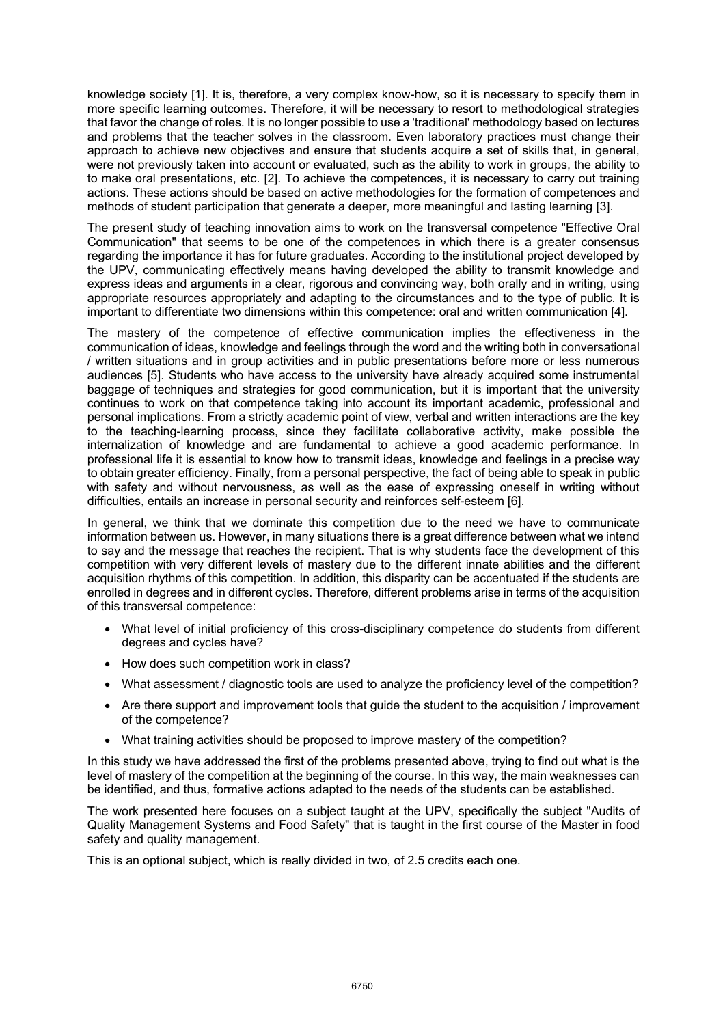knowledge society [1]. It is, therefore, a very complex know-how, so it is necessary to specify them in more specific learning outcomes. Therefore, it will be necessary to resort to methodological strategies that favor the change of roles. It is no longer possible to use a 'traditional' methodology based on lectures and problems that the teacher solves in the classroom. Even laboratory practices must change their approach to achieve new objectives and ensure that students acquire a set of skills that, in general, were not previously taken into account or evaluated, such as the ability to work in groups, the ability to to make oral presentations, etc. [2]. To achieve the competences, it is necessary to carry out training actions. These actions should be based on active methodologies for the formation of competences and methods of student participation that generate a deeper, more meaningful and lasting learning [3].

The present study of teaching innovation aims to work on the transversal competence "Effective Oral Communication" that seems to be one of the competences in which there is a greater consensus regarding the importance it has for future graduates. According to the institutional project developed by the UPV, communicating effectively means having developed the ability to transmit knowledge and express ideas and arguments in a clear, rigorous and convincing way, both orally and in writing, using appropriate resources appropriately and adapting to the circumstances and to the type of public. It is important to differentiate two dimensions within this competence: oral and written communication [4].

The mastery of the competence of effective communication implies the effectiveness in the communication of ideas, knowledge and feelings through the word and the writing both in conversational / written situations and in group activities and in public presentations before more or less numerous audiences [5]. Students who have access to the university have already acquired some instrumental baggage of techniques and strategies for good communication, but it is important that the university continues to work on that competence taking into account its important academic, professional and personal implications. From a strictly academic point of view, verbal and written interactions are the key to the teaching-learning process, since they facilitate collaborative activity, make possible the internalization of knowledge and are fundamental to achieve a good academic performance. In professional life it is essential to know how to transmit ideas, knowledge and feelings in a precise way to obtain greater efficiency. Finally, from a personal perspective, the fact of being able to speak in public with safety and without nervousness, as well as the ease of expressing oneself in writing without difficulties, entails an increase in personal security and reinforces self-esteem [6].

In general, we think that we dominate this competition due to the need we have to communicate information between us. However, in many situations there is a great difference between what we intend to say and the message that reaches the recipient. That is why students face the development of this competition with very different levels of mastery due to the different innate abilities and the different acquisition rhythms of this competition. In addition, this disparity can be accentuated if the students are enrolled in degrees and in different cycles. Therefore, different problems arise in terms of the acquisition of this transversal competence:

- What level of initial proficiency of this cross-disciplinary competence do students from different degrees and cycles have?
- How does such competition work in class?
- What assessment / diagnostic tools are used to analyze the proficiency level of the competition?
- Are there support and improvement tools that guide the student to the acquisition / improvement of the competence?
- What training activities should be proposed to improve mastery of the competition?

In this study we have addressed the first of the problems presented above, trying to find out what is the level of mastery of the competition at the beginning of the course. In this way, the main weaknesses can be identified, and thus, formative actions adapted to the needs of the students can be established.

The work presented here focuses on a subject taught at the UPV, specifically the subject "Audits of Quality Management Systems and Food Safety" that is taught in the first course of the Master in food safety and quality management.

This is an optional subject, which is really divided in two, of 2.5 credits each one.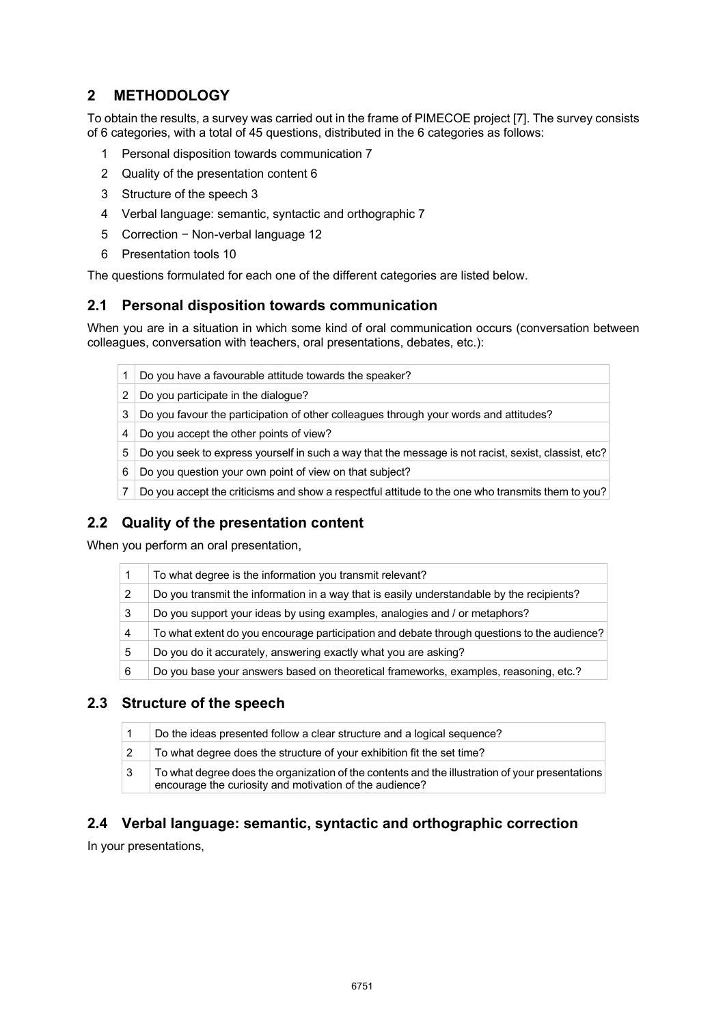# **2 METHODOLOGY**

To obtain the results, a survey was carried out in the frame of PIMECOE project [7]. The survey consists of 6 categories, with a total of 45 questions, distributed in the 6 categories as follows:

- 1 Personal disposition towards communication 7
- 2 Quality of the presentation content 6
- 3 Structure of the speech 3
- 4 Verbal language: semantic, syntactic and orthographic 7
- 5 Correction − Non-verbal language 12
- 6 Presentation tools 10

The questions formulated for each one of the different categories are listed below.

#### **2.1 Personal disposition towards communication**

When you are in a situation in which some kind of oral communication occurs (conversation between colleagues, conversation with teachers, oral presentations, debates, etc.):

|  |  |  |  |  |  | 1 Do you have a favourable attitude towards the speaker? |  |
|--|--|--|--|--|--|----------------------------------------------------------|--|
|--|--|--|--|--|--|----------------------------------------------------------|--|

- 2 Do you participate in the dialogue?
- 3 Do you favour the participation of other colleagues through your words and attitudes?
- 4 Do you accept the other points of view?
- 5 Do you seek to express yourself in such a way that the message is not racist, sexist, classist, etc?
- 6 Do you question your own point of view on that subject?
- 7 Do you accept the criticisms and show a respectful attitude to the one who transmits them to you?

### **2.2 Quality of the presentation content**

When you perform an oral presentation,

|   | To what degree is the information you transmit relevant?                                    |
|---|---------------------------------------------------------------------------------------------|
|   | Do you transmit the information in a way that is easily understandable by the recipients?   |
| 3 | Do you support your ideas by using examples, analogies and / or metaphors?                  |
| 4 | To what extent do you encourage participation and debate through questions to the audience? |
| 5 | Do you do it accurately, answering exactly what you are asking?                             |
| 6 | Do you base your answers based on theoretical frameworks, examples, reasoning, etc.?        |

### **2.3 Structure of the speech**

|   | Do the ideas presented follow a clear structure and a logical sequence?                                                                                    |
|---|------------------------------------------------------------------------------------------------------------------------------------------------------------|
|   | To what degree does the structure of your exhibition fit the set time?                                                                                     |
| 3 | To what degree does the organization of the contents and the illustration of your presentations<br>encourage the curiosity and motivation of the audience? |

### **2.4 Verbal language: semantic, syntactic and orthographic correction**

In your presentations,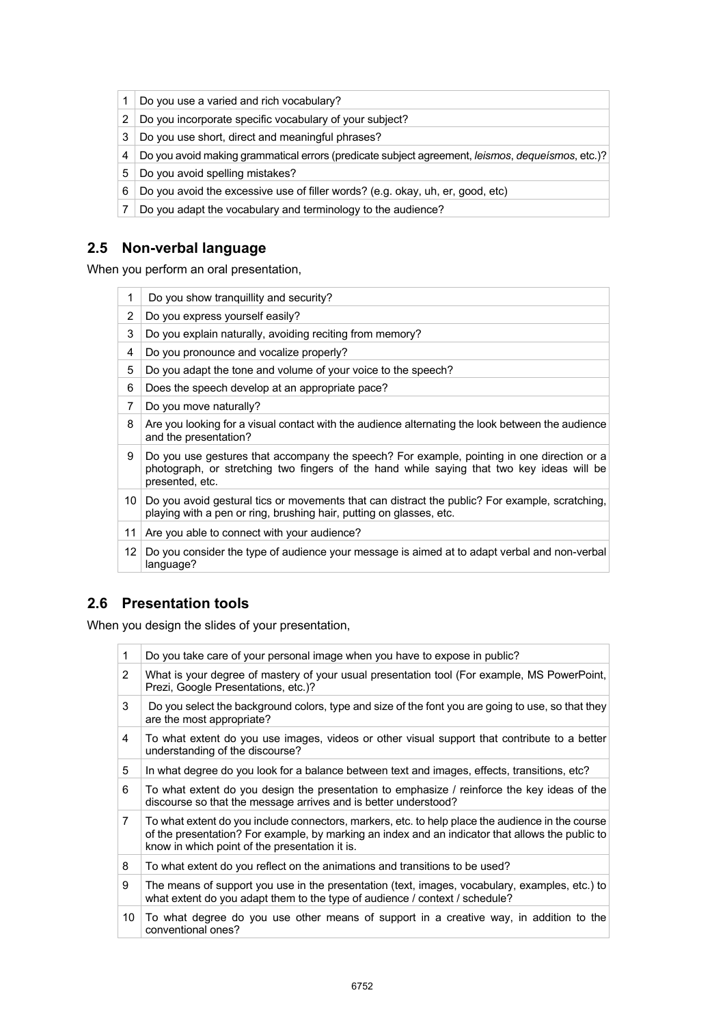- 1 Do you use a varied and rich vocabulary?
- 2 Do you incorporate specific vocabulary of your subject?
- 3 Do you use short, direct and meaningful phrases?
- 4 Do you avoid making grammatical errors (predicate subject agreement, *leismos*, *dequeísmos*, etc.)?
- 5 Do you avoid spelling mistakes?
- 6 Do you avoid the excessive use of filler words? (e.g. okay, uh, er, good, etc)
- 7 Do you adapt the vocabulary and terminology to the audience?

## **2.5 Non-verbal language**

When you perform an oral presentation,

|    | Do you show tranguillity and security?                                                                                                                                                                     |
|----|------------------------------------------------------------------------------------------------------------------------------------------------------------------------------------------------------------|
| 2  | Do you express yourself easily?                                                                                                                                                                            |
| 3  | Do you explain naturally, avoiding reciting from memory?                                                                                                                                                   |
| 4  | Do you pronounce and vocalize properly?                                                                                                                                                                    |
| 5  | Do you adapt the tone and volume of your voice to the speech?                                                                                                                                              |
| 6  | Does the speech develop at an appropriate pace?                                                                                                                                                            |
| 7  | Do you move naturally?                                                                                                                                                                                     |
| 8  | Are you looking for a visual contact with the audience alternating the look between the audience<br>and the presentation?                                                                                  |
| 9  | Do you use gestures that accompany the speech? For example, pointing in one direction or a<br>photograph, or stretching two fingers of the hand while saying that two key ideas will be<br>presented, etc. |
|    | 10 Do you avoid gestural tics or movements that can distract the public? For example, scratching,<br>playing with a pen or ring, brushing hair, putting on glasses, etc.                                   |
| 11 | Are you able to connect with your audience?                                                                                                                                                                |
| 12 | Do you consider the type of audience your message is aimed at to adapt verbal and non-verbal<br>language?                                                                                                  |

### **2.6 Presentation tools**

When you design the slides of your presentation,

| 1              | Do you take care of your personal image when you have to expose in public?                                                                                                                                                                             |
|----------------|--------------------------------------------------------------------------------------------------------------------------------------------------------------------------------------------------------------------------------------------------------|
| 2              | What is your degree of mastery of your usual presentation tool (For example, MS PowerPoint,<br>Prezi, Google Presentations, etc.)?                                                                                                                     |
| 3              | Do you select the background colors, type and size of the font you are going to use, so that they<br>are the most appropriate?                                                                                                                         |
| 4              | To what extent do you use images, videos or other visual support that contribute to a better<br>understanding of the discourse?                                                                                                                        |
| 5              | In what degree do you look for a balance between text and images, effects, transitions, etc?                                                                                                                                                           |
| 6              | To what extent do you design the presentation to emphasize / reinforce the key ideas of the<br>discourse so that the message arrives and is better understood?                                                                                         |
| $\overline{7}$ | To what extent do you include connectors, markers, etc. to help place the audience in the course<br>of the presentation? For example, by marking an index and an indicator that allows the public to<br>know in which point of the presentation it is. |
| 8              | To what extent do you reflect on the animations and transitions to be used?                                                                                                                                                                            |
| 9              | The means of support you use in the presentation (text, images, vocabulary, examples, etc.) to<br>what extent do you adapt them to the type of audience / context / schedule?                                                                          |
| 10             | To what degree do you use other means of support in a creative way, in addition to the<br>conventional ones?                                                                                                                                           |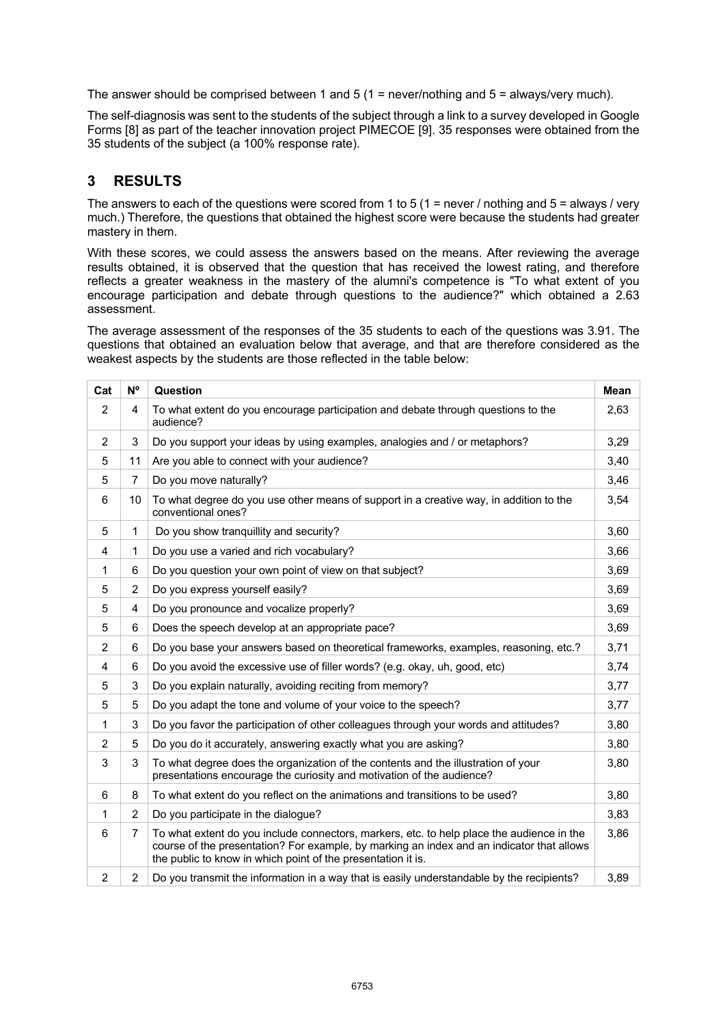The answer should be comprised between 1 and 5 (1 = never/nothing and  $5 =$  always/very much).

The self-diagnosis was sent to the students of the subject through a link to a survey developed in Google Forms [8] as part of the teacher innovation project PIMECOE [9]. 35 responses were obtained from the 35 students of the subject (a 100% response rate).

## **3 RESULTS**

The answers to each of the questions were scored from 1 to 5 (1 = never / nothing and 5 = always / very much.) Therefore, the questions that obtained the highest score were because the students had greater mastery in them.

With these scores, we could assess the answers based on the means. After reviewing the average results obtained, it is observed that the question that has received the lowest rating, and therefore reflects a greater weakness in the mastery of the alumni's competence is "To what extent of you encourage participation and debate through questions to the audience?" which obtained a 2.63 assessment.

The average assessment of the responses of the 35 students to each of the questions was 3.91. The questions that obtained an evaluation below that average, and that are therefore considered as the weakest aspects by the students are those reflected in the table below:

| Cat            | N°             | Question                                                                                                                                                                                                                                               | <b>Mean</b> |
|----------------|----------------|--------------------------------------------------------------------------------------------------------------------------------------------------------------------------------------------------------------------------------------------------------|-------------|
| 2              | 4              | To what extent do you encourage participation and debate through questions to the<br>audience?                                                                                                                                                         | 2,63        |
| 2              | 3              | Do you support your ideas by using examples, analogies and / or metaphors?                                                                                                                                                                             | 3,29        |
| 5              | 11             | Are you able to connect with your audience?                                                                                                                                                                                                            | 3,40        |
| 5              | $\overline{7}$ | Do you move naturally?                                                                                                                                                                                                                                 | 3,46        |
| 6              | 10             | To what degree do you use other means of support in a creative way, in addition to the<br>conventional ones?                                                                                                                                           | 3,54        |
| 5              | 1              | Do you show tranquillity and security?                                                                                                                                                                                                                 | 3,60        |
| 4              | 1              | Do you use a varied and rich vocabulary?                                                                                                                                                                                                               | 3,66        |
| 1              | 6              | Do you question your own point of view on that subject?                                                                                                                                                                                                | 3,69        |
| 5              | $\overline{2}$ | Do you express yourself easily?                                                                                                                                                                                                                        | 3,69        |
| 5              | 4              | Do you pronounce and vocalize properly?                                                                                                                                                                                                                | 3,69        |
| 5              | 6              | Does the speech develop at an appropriate pace?                                                                                                                                                                                                        | 3,69        |
| 2              | 6              | Do you base your answers based on theoretical frameworks, examples, reasoning, etc.?                                                                                                                                                                   | 3,71        |
| 4              | 6              | Do you avoid the excessive use of filler words? (e.g. okay, uh, good, etc)                                                                                                                                                                             | 3,74        |
| 5              | 3              | Do you explain naturally, avoiding reciting from memory?                                                                                                                                                                                               | 3,77        |
| 5              | 5              | Do you adapt the tone and volume of your voice to the speech?                                                                                                                                                                                          | 3,77        |
| 1              | 3              | Do you favor the participation of other colleagues through your words and attitudes?                                                                                                                                                                   | 3,80        |
| 2              | 5              | Do you do it accurately, answering exactly what you are asking?                                                                                                                                                                                        | 3,80        |
| 3              | 3              | To what degree does the organization of the contents and the illustration of your<br>presentations encourage the curiosity and motivation of the audience?                                                                                             | 3,80        |
| 6              | 8              | To what extent do you reflect on the animations and transitions to be used?                                                                                                                                                                            | 3,80        |
| 1              | $\overline{2}$ | Do you participate in the dialogue?                                                                                                                                                                                                                    | 3,83        |
| 6              | $\overline{7}$ | To what extent do you include connectors, markers, etc. to help place the audience in the<br>course of the presentation? For example, by marking an index and an indicator that allows<br>the public to know in which point of the presentation it is. | 3,86        |
| $\overline{2}$ | $\overline{2}$ | Do you transmit the information in a way that is easily understandable by the recipients?                                                                                                                                                              | 3,89        |